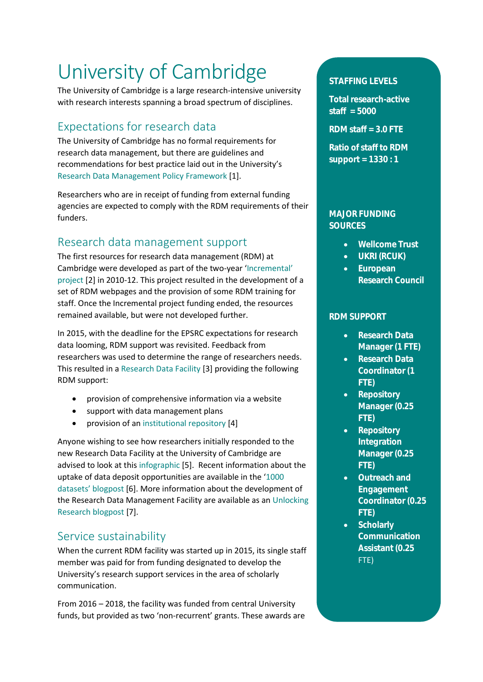# University of Cambridge

The University of Cambridge is a large research-intensive university with research interests spanning a broad spectrum of disciplines.

## Expectations for research data

The University of Cambridge has no formal requirements for research data management, but there are guidelines and recommendations for best practice laid out in the University's [Research Data Management Policy Framework](https://www.data.cam.ac.uk/university-policy) [1].

Researchers who are in receipt of funding from external funding agencies are expected to comply with the RDM requirements of their funders.

## Research data management support

The first resources for research data management (RDM) at Cambridge were developed as part of the two-year ['Incremental'](http://www.dcc.ac.uk/projects/incremental)  [project](http://www.dcc.ac.uk/projects/incremental) [2] in 2010-12. This project resulted in the development of a set of RDM webpages and the provision of some RDM training for staff. Once the Incremental project funding ended, the resources remained available, but were not developed further.

In 2015, with the deadline for the EPSRC expectations for research data looming, RDM support was revisited. Feedback from researchers was used to determine the range of researchers needs. This resulted in a [Research Data Facility](https://www.data.cam.ac.uk/) [3] providing the following RDM support:

- provision of comprehensive information via a website
- support with data management plans
- provision of an [institutional repository](https://www.repository.cam.ac.uk/) [4]

Anyone wishing to see how researchers initially responded to the new Research Data Facility at the University of Cambridge are advised to look at this [infographic](http://www.lib.cam.ac.uk/librarians/oa/data-poster.pdf) [5]. Recent information about the uptake of data deposit opportunities are available in the '[1000](https://unlockingresearch-blog.lib.cam.ac.uk/?p=1654)  dataset[s' blogpost](https://unlockingresearch-blog.lib.cam.ac.uk/?p=1654) [6]. More information about the development of the Research Data Management Facility are available as an [Unlocking](https://unlockingresearch-blog.lib.cam.ac.uk/?p=221)  [Research blogpost](https://unlockingresearch-blog.lib.cam.ac.uk/?p=221) [7].

## Service sustainability

When the current RDM facility was started up in 2015, its single staff member was paid for from funding designated to develop the University's research support services in the area of scholarly communication.

From 2016 – 2018, the facility was funded from central University funds, but provided as two 'non-recurrent' grants. These awards are

#### **STAFFING LEVELS**

**Total research-active staff = 5000** 

**RDM staff = 3.0 FTE**

**Ratio of staff to RDM support = 1330 : 1**

#### **MAJOR FUNDING SOURCES**

- **Wellcome Trust**
- **UKRI (RCUK)**
- **European Research Council**

#### **RDM SUPPORT**

- **Research Data Manager (1 FTE)**
- **Research Data Coordinator (1 FTE)**
- **Repository Manager (0.25 FTE)**
- **Repository Integration Manager (0.25 FTE)**
- **Outreach and Engagement Coordinator (0.25 FTE)**
- **Scholarly Communication Assistant (0.25** FTE)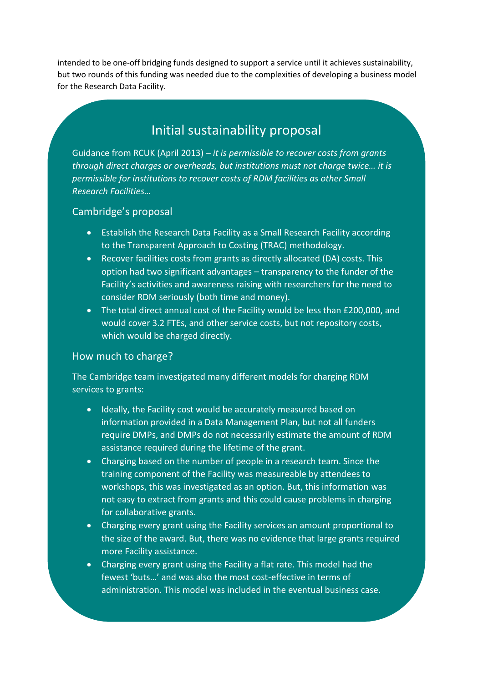intended to be one-off bridging funds designed to support a service until it achieves sustainability, but two rounds of this funding was needed due to the complexities of developing a business model for the Research Data Facility.

## Initial sustainability proposal

Guidance from RCUK (April 2013) – *it is permissible to recover costs from grants through direct charges or overheads, but institutions must not charge twice… it is permissible for institutions to recover costs of RDM facilities as other Small Research Facilities…*

#### Cambridge's proposal

- Establish the Research Data Facility as a Small Research Facility according to the Transparent Approach to Costing (TRAC) methodology.
- Recover facilities costs from grants as directly allocated (DA) costs. This option had two significant advantages – transparency to the funder of the Facility's activities and awareness raising with researchers for the need to consider RDM seriously (both time and money).
- The total direct annual cost of the Facility would be less than £200,000, and would cover 3.2 FTEs, and other service costs, but not repository costs, which would be charged directly.

#### How much to charge?

The Cambridge team investigated many different models for charging RDM services to grants:

- Ideally, the Facility cost would be accurately measured based on information provided in a Data Management Plan, but not all funders require DMPs, and DMPs do not necessarily estimate the amount of RDM assistance required during the lifetime of the grant.
- Charging based on the number of people in a research team. Since the training component of the Facility was measureable by attendees to workshops, this was investigated as an option. But, this information was not easy to extract from grants and this could cause problems in charging for collaborative grants.
- Charging every grant using the Facility services an amount proportional to the size of the award. But, there was no evidence that large grants required more Facility assistance.
- Charging every grant using the Facility a flat rate. This model had the fewest 'buts…' and was also the most cost-effective in terms of administration. This model was included in the eventual business case.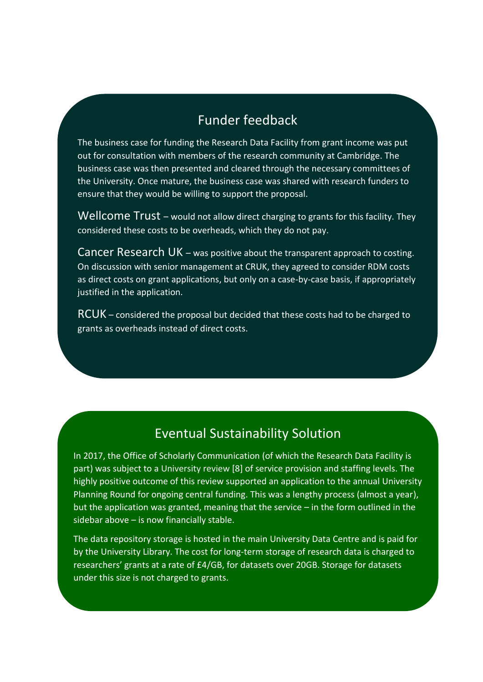# Funder feedback

The business case for funding the Research Data Facility from grant income was put out for consultation with members of the research community at Cambridge. The business case was then presented and cleared through the necessary committees of the University. Once mature, the business case was shared with research funders to ensure that they would be willing to support the proposal.

Wellcome Trust – would not allow direct charging to grants for this facility. They considered these costs to be overheads, which they do not pay.

Cancer Research UK – was positive about the transparent approach to costing. On discussion with senior management at CRUK, they agreed to consider RDM costs as direct costs on grant applications, but only on a case-by-case basis, if appropriately justified in the application.

RCUK – considered the proposal but decided that these costs had to be charged to grants as overheads instead of direct costs.

# Eventual Sustainability Solution

In 2017, the Office of Scholarly Communication (of which the Research Data Facility is part) was subject to a [University review](https://osc.cam.ac.uk/open-research/joining-scholarly-communication-discussion/open-research-working-group/summary-2017) [8] of service provision and staffing levels. The highly positive outcome of this review supported an application to the annual University Planning Round for ongoing central funding. This was a lengthy process (almost a year), but the application was granted, meaning that the service – in the form outlined in the sidebar above – is now financially stable.

The data repository storage is hosted in the main University Data Centre and is paid for by the University Library. The cost for long-term storage of research data is charged to researchers' grants at a rate of £4/GB, for datasets over 20GB. Storage for datasets under this size is not charged to grants.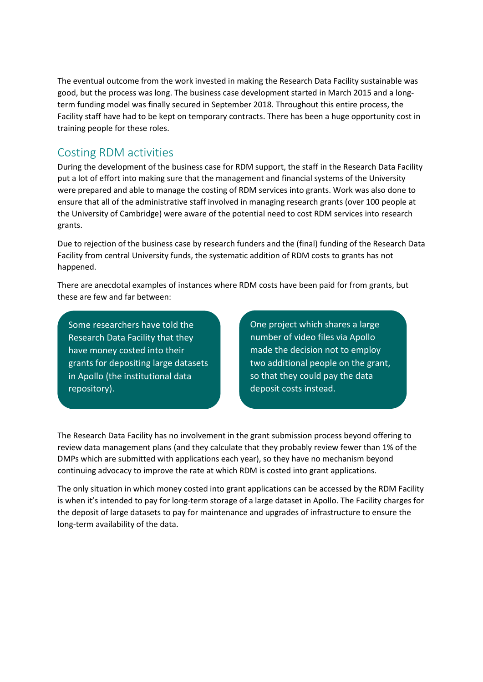The eventual outcome from the work invested in making the Research Data Facility sustainable was good, but the process was long. The business case development started in March 2015 and a longterm funding model was finally secured in September 2018. Throughout this entire process, the Facility staff have had to be kept on temporary contracts. There has been a huge opportunity cost in training people for these roles.

## Costing RDM activities

During the development of the business case for RDM support, the staff in the Research Data Facility put a lot of effort into making sure that the management and financial systems of the University were prepared and able to manage the costing of RDM services into grants. Work was also done to ensure that all of the administrative staff involved in managing research grants (over 100 people at the University of Cambridge) were aware of the potential need to cost RDM services into research grants.

Due to rejection of the business case by research funders and the (final) funding of the Research Data Facility from central University funds, the systematic addition of RDM costs to grants has not happened.

There are anecdotal examples of instances where RDM costs have been paid for from grants, but these are few and far between:

Some researchers have told the Research Data Facility that they have money costed into their grants for depositing large datasets in Apollo (the institutional data repository).

One project which shares a large number of video files via Apollo made the decision not to employ two additional people on the grant, so that they could pay the data deposit costs instead.

The Research Data Facility has no involvement in the grant submission process beyond offering to review data management plans (and they calculate that they probably review fewer than 1% of the DMPs which are submitted with applications each year), so they have no mechanism beyond continuing advocacy to improve the rate at which RDM is costed into grant applications.

The only situation in which money costed into grant applications can be accessed by the RDM Facility is when it's intended to pay for long-term storage of a large dataset in Apollo. The Facility charges for the deposit of large datasets to pay for maintenance and upgrades of infrastructure to ensure the long-term availability of the data.